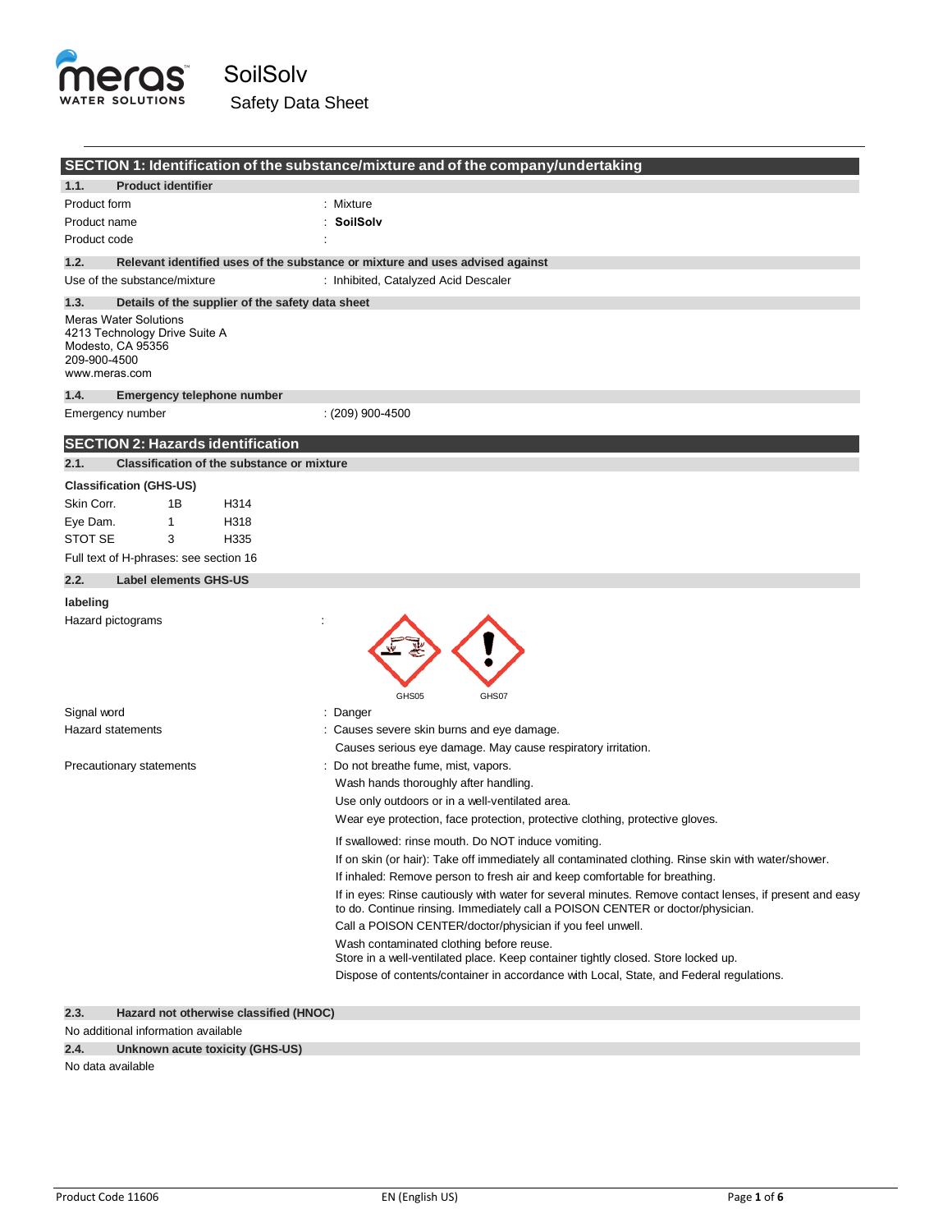

|                                                                                                                     | SECTION 1: Identification of the substance/mixture and of the company/undertaking                                                                                                         |
|---------------------------------------------------------------------------------------------------------------------|-------------------------------------------------------------------------------------------------------------------------------------------------------------------------------------------|
| <b>Product identifier</b><br>1.1.                                                                                   |                                                                                                                                                                                           |
| Product form                                                                                                        | : Mixture                                                                                                                                                                                 |
| Product name                                                                                                        | : SoilSolv                                                                                                                                                                                |
| Product code                                                                                                        |                                                                                                                                                                                           |
| 1.2.                                                                                                                | Relevant identified uses of the substance or mixture and uses advised against                                                                                                             |
| Use of the substance/mixture                                                                                        | : Inhibited, Catalyzed Acid Descaler                                                                                                                                                      |
| 1.3.<br>Details of the supplier of the safety data sheet                                                            |                                                                                                                                                                                           |
| <b>Meras Water Solutions</b><br>4213 Technology Drive Suite A<br>Modesto, CA 95356<br>209-900-4500<br>www.meras.com |                                                                                                                                                                                           |
| 1.4.<br>Emergency telephone number                                                                                  |                                                                                                                                                                                           |
| Emergency number                                                                                                    | $(209)$ 900-4500                                                                                                                                                                          |
| <b>SECTION 2: Hazards identification</b>                                                                            |                                                                                                                                                                                           |
| 2.1.<br><b>Classification of the substance or mixture</b>                                                           |                                                                                                                                                                                           |
| <b>Classification (GHS-US)</b>                                                                                      |                                                                                                                                                                                           |
| Skin Corr.<br>1Β<br>H314                                                                                            |                                                                                                                                                                                           |
| Eye Dam.<br>1<br>H318                                                                                               |                                                                                                                                                                                           |
| <b>STOT SE</b><br>3<br>H335                                                                                         |                                                                                                                                                                                           |
| Full text of H-phrases: see section 16                                                                              |                                                                                                                                                                                           |
| 2.2.<br><b>Label elements GHS-US</b>                                                                                |                                                                                                                                                                                           |
| labeling                                                                                                            |                                                                                                                                                                                           |
| Hazard pictograms                                                                                                   | GHS05<br>GHS07                                                                                                                                                                            |
| Signal word                                                                                                         | : Danger                                                                                                                                                                                  |
| <b>Hazard statements</b>                                                                                            | : Causes severe skin burns and eye damage.                                                                                                                                                |
|                                                                                                                     | Causes serious eye damage. May cause respiratory irritation.                                                                                                                              |
| Precautionary statements                                                                                            | : Do not breathe fume, mist, vapors.                                                                                                                                                      |
|                                                                                                                     | Wash hands thoroughly after handling.                                                                                                                                                     |
|                                                                                                                     | Use only outdoors or in a well-ventilated area.                                                                                                                                           |
|                                                                                                                     | Wear eye protection, face protection, protective clothing, protective gloves.                                                                                                             |
|                                                                                                                     | If swallowed: rinse mouth. Do NOT induce vomiting.                                                                                                                                        |
|                                                                                                                     | If on skin (or hair): Take off immediately all contaminated clothing. Rinse skin with water/shower.                                                                                       |
|                                                                                                                     | If inhaled: Remove person to fresh air and keep comfortable for breathing.                                                                                                                |
|                                                                                                                     | If in eyes: Rinse cautiously with water for several minutes. Remove contact lenses, if present and easy<br>to do. Continue rinsing. Immediately call a POISON CENTER or doctor/physician. |
|                                                                                                                     | Call a POISON CENTER/doctor/physician if you feel unwell.                                                                                                                                 |
|                                                                                                                     | Wash contaminated clothing before reuse.<br>Store in a well-ventilated place. Keep container tightly closed. Store locked up.                                                             |
|                                                                                                                     | Dispose of contents/container in accordance with Local, State, and Federal regulations.                                                                                                   |
|                                                                                                                     |                                                                                                                                                                                           |

# **2.3. Hazard not otherwise classified (HNOC)**

#### No additional information available

# **2.4. Unknown acute toxicity (GHS-US)**

No data available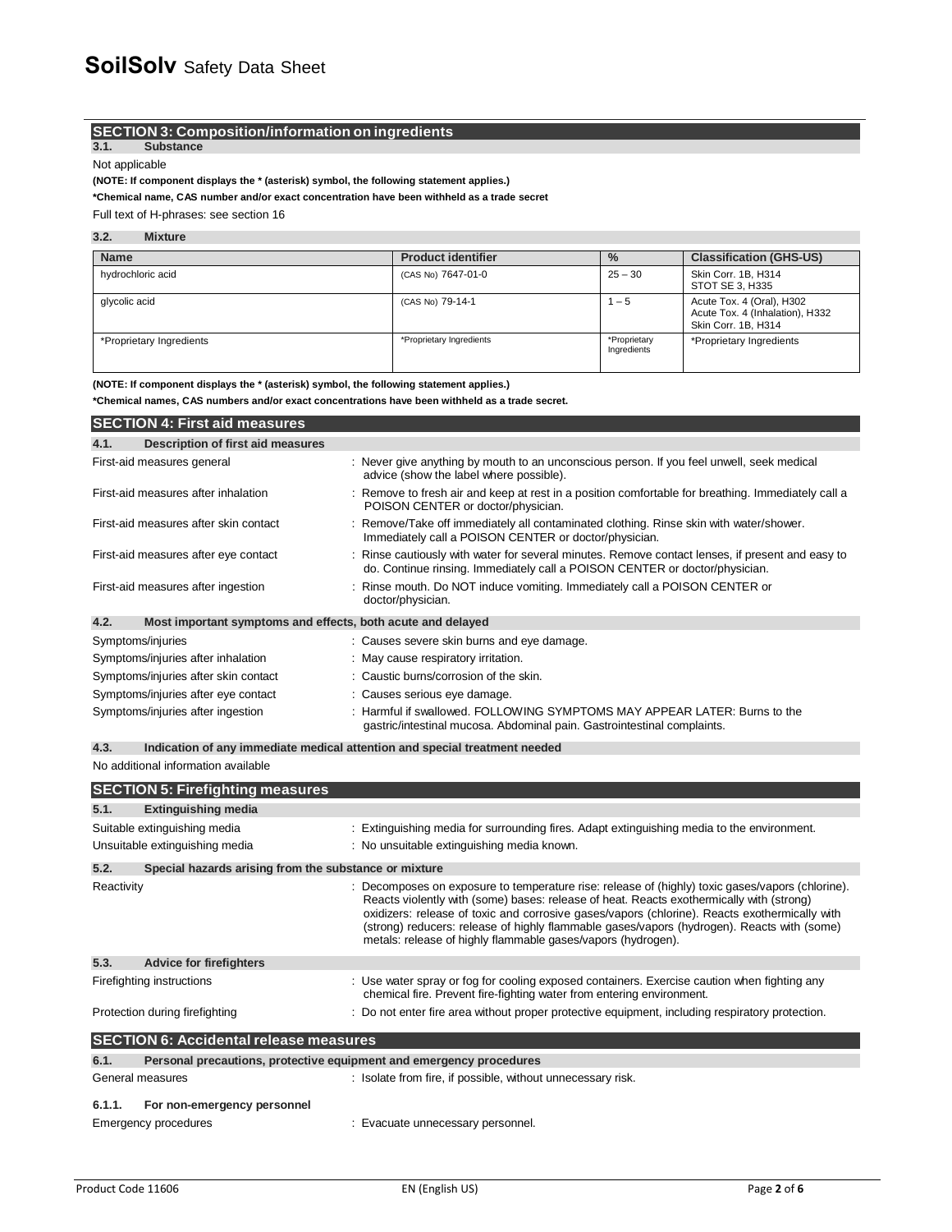## **SECTION 3: Composition/information on ingredients**

**3.1. Substance**

Not applicable

#### **(NOTE: If component displays the \* (asterisk) symbol, the following statement applies.)**

**\*Chemical name, CAS number and/or exact concentration have been withheld as a trade secret**

Full text of H-phrases: see section 16

#### **3.2. Mixture**

| <b>Name</b>              | <b>Product identifier</b> | $\frac{9}{6}$               | <b>Classification (GHS-US)</b>                                                      |
|--------------------------|---------------------------|-----------------------------|-------------------------------------------------------------------------------------|
| hydrochloric acid        | (CAS No) 7647-01-0        | $25 - 30$                   | Skin Corr. 1B, H314<br>STOT SE 3, H335                                              |
| glycolic acid            | (CAS No) 79-14-1          | $-5$                        | Acute Tox. 4 (Oral), H302<br>Acute Tox. 4 (Inhalation), H332<br>Skin Corr. 1B. H314 |
| *Proprietary Ingredients | *Proprietary Ingredients  | *Proprietary<br>Ingredients | *Proprietary Ingredients                                                            |

**(NOTE: If component displays the \* (asterisk) symbol, the following statement applies.)**

**\*Chemical names, CAS numbers and/or exact concentrations have been withheld as a trade secret.**

| <b>SECTION 4: First aid measures</b>                                |                                                                                                                                                                                 |
|---------------------------------------------------------------------|---------------------------------------------------------------------------------------------------------------------------------------------------------------------------------|
| Description of first aid measures<br>4.1.                           |                                                                                                                                                                                 |
| First-aid measures general                                          | : Never give anything by mouth to an unconscious person. If you feel unwell, seek medical<br>advice (show the label where possible).                                            |
| First-aid measures after inhalation                                 | : Remove to fresh air and keep at rest in a position comfortable for breathing. Immediately call a<br>POISON CENTER or doctor/physician.                                        |
| First-aid measures after skin contact                               | : Remove/Take off immediately all contaminated clothing. Rinse skin with water/shower.<br>Immediately call a POISON CENTER or doctor/physician.                                 |
| First-aid measures after eye contact                                | : Rinse cautiously with water for several minutes. Remove contact lenses, if present and easy to<br>do. Continue rinsing. Immediately call a POISON CENTER or doctor/physician. |
| First-aid measures after ingestion                                  | : Rinse mouth. Do NOT induce vomiting. Immediately call a POISON CENTER or<br>doctor/physician.                                                                                 |
| 4.2.<br>Most important symptoms and effects, both acute and delayed |                                                                                                                                                                                 |
| Symptoms/injuries                                                   | : Causes severe skin burns and eye damage.                                                                                                                                      |
| Symptoms/injuries after inhalation                                  | : May cause respiratory irritation.                                                                                                                                             |
| Symptoms/injuries after skin contact                                | : Caustic burns/corrosion of the skin.                                                                                                                                          |
| Symptoms/injuries after eye contact                                 | : Causes serious eye damage.                                                                                                                                                    |
| Symptoms/injuries after ingestion                                   | : Harmful if swallowed. FOLLOWING SYMPTOMS MAY APPEAR LATER: Burns to the<br>gastric/intestinal mucosa. Abdominal pain. Gastrointestinal complaints.                            |

**4.3. Indication of any immediate medical attention and special treatment needed**

No additional information available

| <b>SECTION 5: Firefighting measures</b>       |                                                                     |                                                                                                                                                                                                                                                                                                                                                                                                                                                             |
|-----------------------------------------------|---------------------------------------------------------------------|-------------------------------------------------------------------------------------------------------------------------------------------------------------------------------------------------------------------------------------------------------------------------------------------------------------------------------------------------------------------------------------------------------------------------------------------------------------|
| 5.1.                                          | <b>Extinguishing media</b>                                          |                                                                                                                                                                                                                                                                                                                                                                                                                                                             |
|                                               | Suitable extinguishing media                                        | : Extinguishing media for surrounding fires. Adapt extinguishing media to the environment.                                                                                                                                                                                                                                                                                                                                                                  |
|                                               | Unsuitable extinguishing media                                      | : No unsuitable extinguishing media known.                                                                                                                                                                                                                                                                                                                                                                                                                  |
| 5.2.                                          | Special hazards arising from the substance or mixture               |                                                                                                                                                                                                                                                                                                                                                                                                                                                             |
| Reactivity                                    |                                                                     | : Decomposes on exposure to temperature rise: release of (highly) toxic gases/vapors (chlorine).<br>Reacts violently with (some) bases: release of heat. Reacts exothermically with (strong)<br>oxidizers: release of toxic and corrosive gases/vapors (chlorine). Reacts exothermically with<br>(strong) reducers: release of highly flammable gases/vapors (hydrogen). Reacts with (some)<br>metals: release of highly flammable gases/vapors (hydrogen). |
| 5.3.                                          | <b>Advice for firefighters</b>                                      |                                                                                                                                                                                                                                                                                                                                                                                                                                                             |
|                                               | Firefighting instructions                                           | : Use water spray or fog for cooling exposed containers. Exercise caution when fighting any<br>chemical fire. Prevent fire-fighting water from entering environment.                                                                                                                                                                                                                                                                                        |
|                                               | Protection during firefighting                                      | : Do not enter fire area without proper protective equipment, including respiratory protection.                                                                                                                                                                                                                                                                                                                                                             |
| <b>SECTION 6: Accidental release measures</b> |                                                                     |                                                                                                                                                                                                                                                                                                                                                                                                                                                             |
| 6.1.                                          | Personal precautions, protective equipment and emergency procedures |                                                                                                                                                                                                                                                                                                                                                                                                                                                             |
| General measures                              |                                                                     | : Isolate from fire, if possible, without unnecessary risk.                                                                                                                                                                                                                                                                                                                                                                                                 |
| 6.1.1.                                        | For non-emergency personnel                                         |                                                                                                                                                                                                                                                                                                                                                                                                                                                             |
|                                               | Emergency procedures                                                | : Evacuate unnecessary personnel.                                                                                                                                                                                                                                                                                                                                                                                                                           |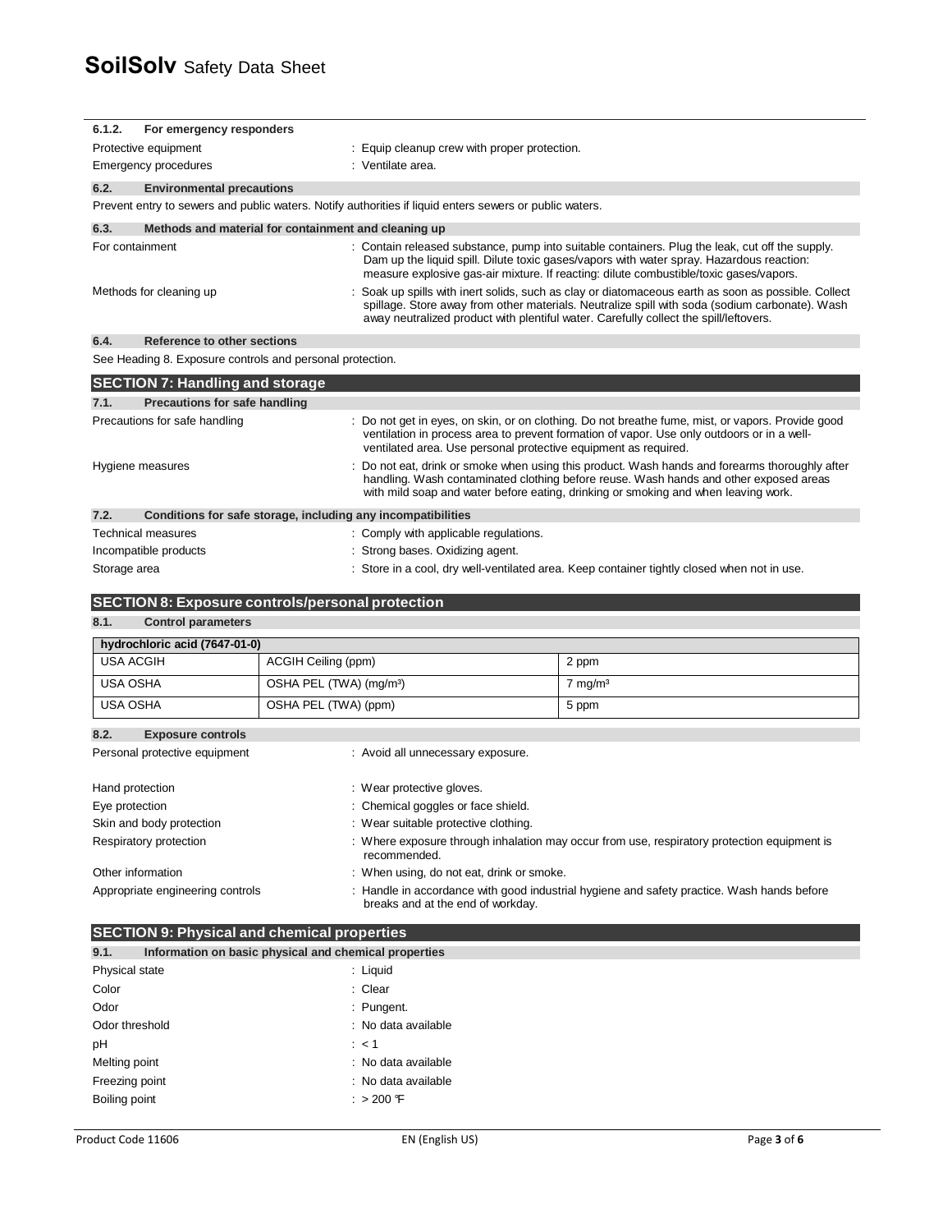| 6.1.2.                                                               | For emergency responders                                                                                                              |                                                                                                                                                                                                                                                                               |                                                                                                                                                                                                                                                                                                |
|----------------------------------------------------------------------|---------------------------------------------------------------------------------------------------------------------------------------|-------------------------------------------------------------------------------------------------------------------------------------------------------------------------------------------------------------------------------------------------------------------------------|------------------------------------------------------------------------------------------------------------------------------------------------------------------------------------------------------------------------------------------------------------------------------------------------|
| Protective equipment<br>: Equip cleanup crew with proper protection. |                                                                                                                                       |                                                                                                                                                                                                                                                                               |                                                                                                                                                                                                                                                                                                |
|                                                                      | : Ventilate area.<br><b>Emergency procedures</b>                                                                                      |                                                                                                                                                                                                                                                                               |                                                                                                                                                                                                                                                                                                |
| 6.2.                                                                 | <b>Environmental precautions</b>                                                                                                      |                                                                                                                                                                                                                                                                               |                                                                                                                                                                                                                                                                                                |
|                                                                      |                                                                                                                                       | Prevent entry to sewers and public waters. Notify authorities if liquid enters sewers or public waters.                                                                                                                                                                       |                                                                                                                                                                                                                                                                                                |
| 6.3.                                                                 |                                                                                                                                       | Methods and material for containment and cleaning up                                                                                                                                                                                                                          |                                                                                                                                                                                                                                                                                                |
|                                                                      | For containment                                                                                                                       |                                                                                                                                                                                                                                                                               | : Contain released substance, pump into suitable containers. Plug the leak, cut off the supply.<br>Dam up the liquid spill. Dilute toxic gases/vapors with water spray. Hazardous reaction:<br>measure explosive gas-air mixture. If reacting: dilute combustible/toxic gases/vapors.          |
|                                                                      | Methods for cleaning up                                                                                                               |                                                                                                                                                                                                                                                                               | : Soak up spills with inert solids, such as clay or diatomaceous earth as soon as possible. Collect<br>spillage. Store away from other materials. Neutralize spill with soda (sodium carbonate). Wash<br>away neutralized product with plentiful water. Carefully collect the spill/leftovers. |
| 6.4.                                                                 | <b>Reference to other sections</b>                                                                                                    |                                                                                                                                                                                                                                                                               |                                                                                                                                                                                                                                                                                                |
|                                                                      |                                                                                                                                       | See Heading 8. Exposure controls and personal protection.                                                                                                                                                                                                                     |                                                                                                                                                                                                                                                                                                |
|                                                                      | <b>SECTION 7: Handling and storage</b>                                                                                                |                                                                                                                                                                                                                                                                               |                                                                                                                                                                                                                                                                                                |
| 7.1.                                                                 | <b>Precautions for safe handling</b>                                                                                                  |                                                                                                                                                                                                                                                                               |                                                                                                                                                                                                                                                                                                |
|                                                                      | Precautions for safe handling                                                                                                         |                                                                                                                                                                                                                                                                               | : Do not get in eyes, on skin, or on clothing. Do not breathe fume, mist, or vapors. Provide good<br>ventilation in process area to prevent formation of vapor. Use only outdoors or in a well-<br>ventilated area. Use personal protective equipment as required.                             |
|                                                                      | Hygiene measures                                                                                                                      | : Do not eat, drink or smoke when using this product. Wash hands and forearms thoroughly after<br>handling. Wash contaminated clothing before reuse. Wash hands and other exposed areas<br>with mild soap and water before eating, drinking or smoking and when leaving work. |                                                                                                                                                                                                                                                                                                |
| 7.2.                                                                 |                                                                                                                                       | Conditions for safe storage, including any incompatibilities                                                                                                                                                                                                                  |                                                                                                                                                                                                                                                                                                |
|                                                                      | <b>Technical measures</b>                                                                                                             | : Comply with applicable regulations.                                                                                                                                                                                                                                         |                                                                                                                                                                                                                                                                                                |
|                                                                      | Incompatible products                                                                                                                 | : Strong bases. Oxidizing agent.                                                                                                                                                                                                                                              |                                                                                                                                                                                                                                                                                                |
| Storage area                                                         |                                                                                                                                       |                                                                                                                                                                                                                                                                               | : Store in a cool, dry well-ventilated area. Keep container tightly closed when not in use.                                                                                                                                                                                                    |
|                                                                      |                                                                                                                                       |                                                                                                                                                                                                                                                                               |                                                                                                                                                                                                                                                                                                |
|                                                                      |                                                                                                                                       | <b>SECTION 8: Exposure controls/personal protection</b>                                                                                                                                                                                                                       |                                                                                                                                                                                                                                                                                                |
| 8.1.                                                                 | <b>Control parameters</b>                                                                                                             |                                                                                                                                                                                                                                                                               |                                                                                                                                                                                                                                                                                                |
|                                                                      | hydrochloric acid (7647-01-0)                                                                                                         |                                                                                                                                                                                                                                                                               |                                                                                                                                                                                                                                                                                                |
| <b>USA ACGIH</b>                                                     |                                                                                                                                       | ACGIH Ceiling (ppm)                                                                                                                                                                                                                                                           | 2 ppm                                                                                                                                                                                                                                                                                          |
| <b>USA OSHA</b>                                                      |                                                                                                                                       | OSHA PEL (TWA) (mg/m <sup>3</sup> )                                                                                                                                                                                                                                           | $7 \text{ mg/m}^3$                                                                                                                                                                                                                                                                             |
| <b>USA OSHA</b>                                                      |                                                                                                                                       | OSHA PEL (TWA) (ppm)                                                                                                                                                                                                                                                          | 5 ppm                                                                                                                                                                                                                                                                                          |
| 8.2.                                                                 | <b>Exposure controls</b>                                                                                                              |                                                                                                                                                                                                                                                                               |                                                                                                                                                                                                                                                                                                |
|                                                                      | Personal protective equipment                                                                                                         | : Avoid all unnecessary exposure.                                                                                                                                                                                                                                             |                                                                                                                                                                                                                                                                                                |
| Hand protection                                                      |                                                                                                                                       | : Wear protective gloves.                                                                                                                                                                                                                                                     |                                                                                                                                                                                                                                                                                                |
| Eye protection                                                       |                                                                                                                                       | : Chemical goggles or face shield.                                                                                                                                                                                                                                            |                                                                                                                                                                                                                                                                                                |
|                                                                      | Skin and body protection                                                                                                              | : Wear suitable protective clothing.                                                                                                                                                                                                                                          |                                                                                                                                                                                                                                                                                                |
|                                                                      | : Where exposure through inhalation may occur from use, respiratory protection equipment is<br>Respiratory protection<br>recommended. |                                                                                                                                                                                                                                                                               |                                                                                                                                                                                                                                                                                                |
|                                                                      | Other information<br>: When using, do not eat, drink or smoke.                                                                        |                                                                                                                                                                                                                                                                               |                                                                                                                                                                                                                                                                                                |

| Appropriate engineering controls | Handle in accordance with good industrial hygiene and safety practice. Wash hands before<br>breaks and at the end of workday. |
|----------------------------------|-------------------------------------------------------------------------------------------------------------------------------|
|                                  |                                                                                                                               |

|                | <b>SECTION 9: Physical and chemical properties</b>    |  |  |
|----------------|-------------------------------------------------------|--|--|
| 9.1.           | Information on basic physical and chemical properties |  |  |
| Physical state | : Liquid                                              |  |  |
| Color          | : Clear                                               |  |  |
| Odor           | : Pungent.                                            |  |  |
| Odor threshold | : No data available                                   |  |  |
| рH             | $\therefore$ < 1                                      |  |  |
| Melting point  | : No data available                                   |  |  |
| Freezing point | : No data available                                   |  |  |
| Boiling point  | : $> 200$ F                                           |  |  |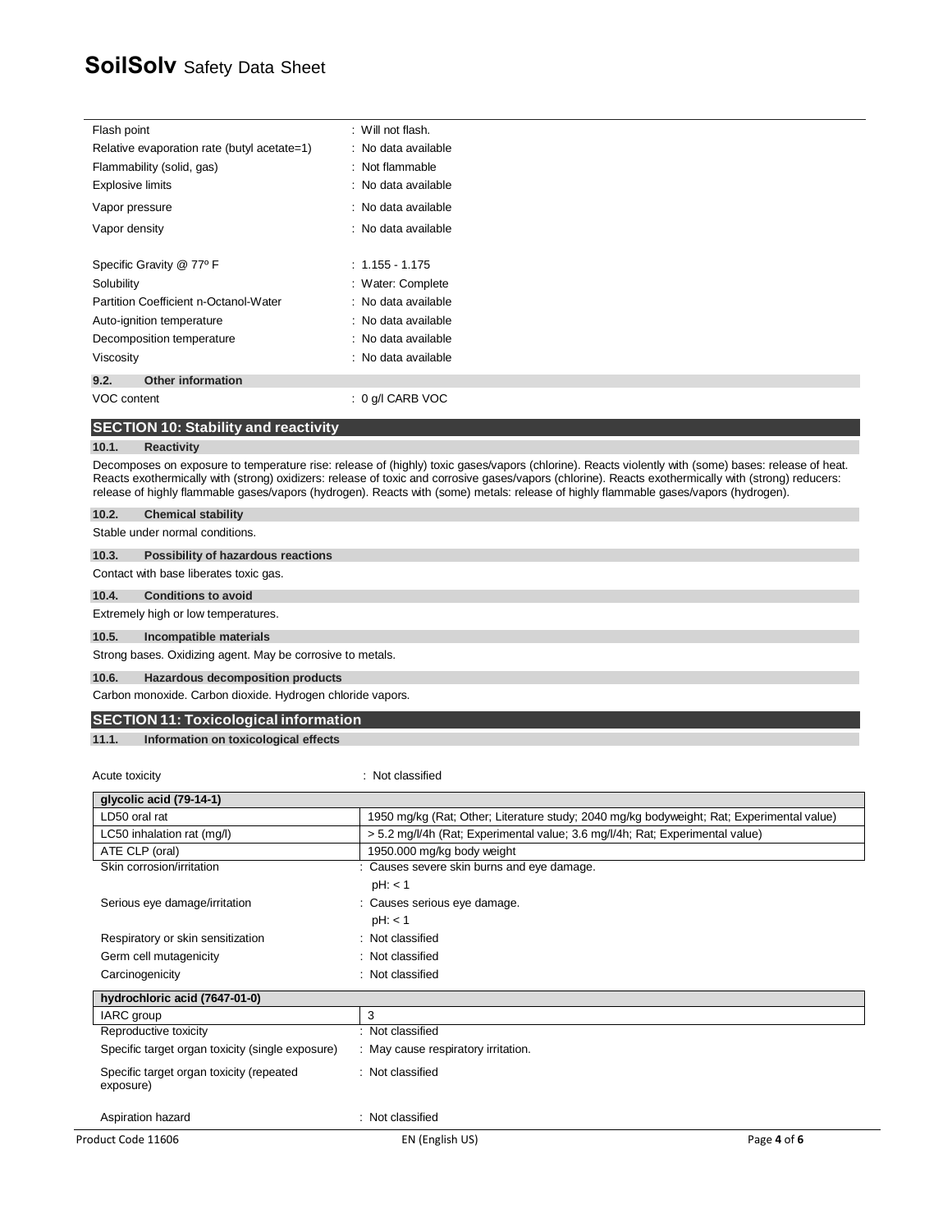# **SoilSolv** Safety Data Sheet

| Flash point                                 | ∴ Will not flash.   |
|---------------------------------------------|---------------------|
| Relative evaporation rate (butyl acetate=1) | : No data available |
| Flammability (solid, gas)                   | : Not flammable     |
| <b>Explosive limits</b>                     | : No data available |
| Vapor pressure                              | : No data available |
| Vapor density                               | : No data available |
| Specific Gravity @ 77° F                    | $: 1.155 - 1.175$   |
| Solubility                                  | : Water: Complete   |
| Partition Coefficient n-Octanol-Water       | : No data available |
| Auto-ignition temperature                   | : No data available |
| Decomposition temperature                   | : No data available |
| Viscosity                                   | : No data available |
| <b>Other information</b><br>9.2.            |                     |
| VOC content                                 | : 0 g/l CARB VOC    |

# **SECTION 10: Stability and reactivity**

#### **10.1. Reactivity**

Decomposes on exposure to temperature rise: release of (highly) toxic gases/vapors (chlorine). Reacts violently with (some) bases: release of heat. Reacts exothermically with (strong) oxidizers: release of toxic and corrosive gases/vapors (chlorine). Reacts exothermically with (strong) reducers: release of highly flammable gases/vapors (hydrogen). Reacts with (some) metals: release of highly flammable gases/vapors (hydrogen).

| 10.2. | <b>Chemical stability</b> |  |
|-------|---------------------------|--|
|       |                           |  |

Stable under normal conditions.

#### **10.3. Possibility of hazardous reactions**

Contact with base liberates toxic gas.

#### **10.4. Conditions to avoid**

Extremely high or low temperatures.

#### **10.5. Incompatible materials**

Strong bases. Oxidizing agent. May be corrosive to metals.

## **10.6. Hazardous decomposition products**

Carbon monoxide. Carbon dioxide. Hydrogen chloride vapors.

Acute toxicity in the contract of the contract of the contract of the contract of the contract of the contract of the contract of the contract of the contract of the contract of the contract of the contract of the contract

## **SECTION 11: Toxicological information**

**11.1. Information on toxicological effects** 

| Product Code 11606                                    | EN (English US)                                                                           | Page 4 of 6 |
|-------------------------------------------------------|-------------------------------------------------------------------------------------------|-------------|
| Aspiration hazard                                     | : Not classified                                                                          |             |
| Specific target organ toxicity (repeated<br>exposure) | : Not classified                                                                          |             |
| Specific target organ toxicity (single exposure)      | : May cause respiratory irritation.                                                       |             |
| Reproductive toxicity                                 | : Not classified                                                                          |             |
| IARC group                                            | 3                                                                                         |             |
| hydrochloric acid (7647-01-0)                         |                                                                                           |             |
| Carcinogenicity                                       | : Not classified                                                                          |             |
| Germ cell mutagenicity                                | : Not classified                                                                          |             |
| Respiratory or skin sensitization                     | : Not classified                                                                          |             |
|                                                       | pH: < 1                                                                                   |             |
| Serious eye damage/irritation                         | : Causes serious eye damage.                                                              |             |
|                                                       | pH: < 1                                                                                   |             |
| Skin corrosion/irritation                             | : Causes severe skin burns and eye damage.                                                |             |
| ATE CLP (oral)                                        | 1950.000 mg/kg body weight                                                                |             |
| LC50 inhalation rat (mg/l)                            | > 5.2 mg/l/4h (Rat; Experimental value; 3.6 mg/l/4h; Rat; Experimental value)             |             |
| LD50 oral rat                                         | 1950 mg/kg (Rat; Other; Literature study; 2040 mg/kg bodyweight; Rat; Experimental value) |             |
| qlycolic acid (79-14-1)                               |                                                                                           |             |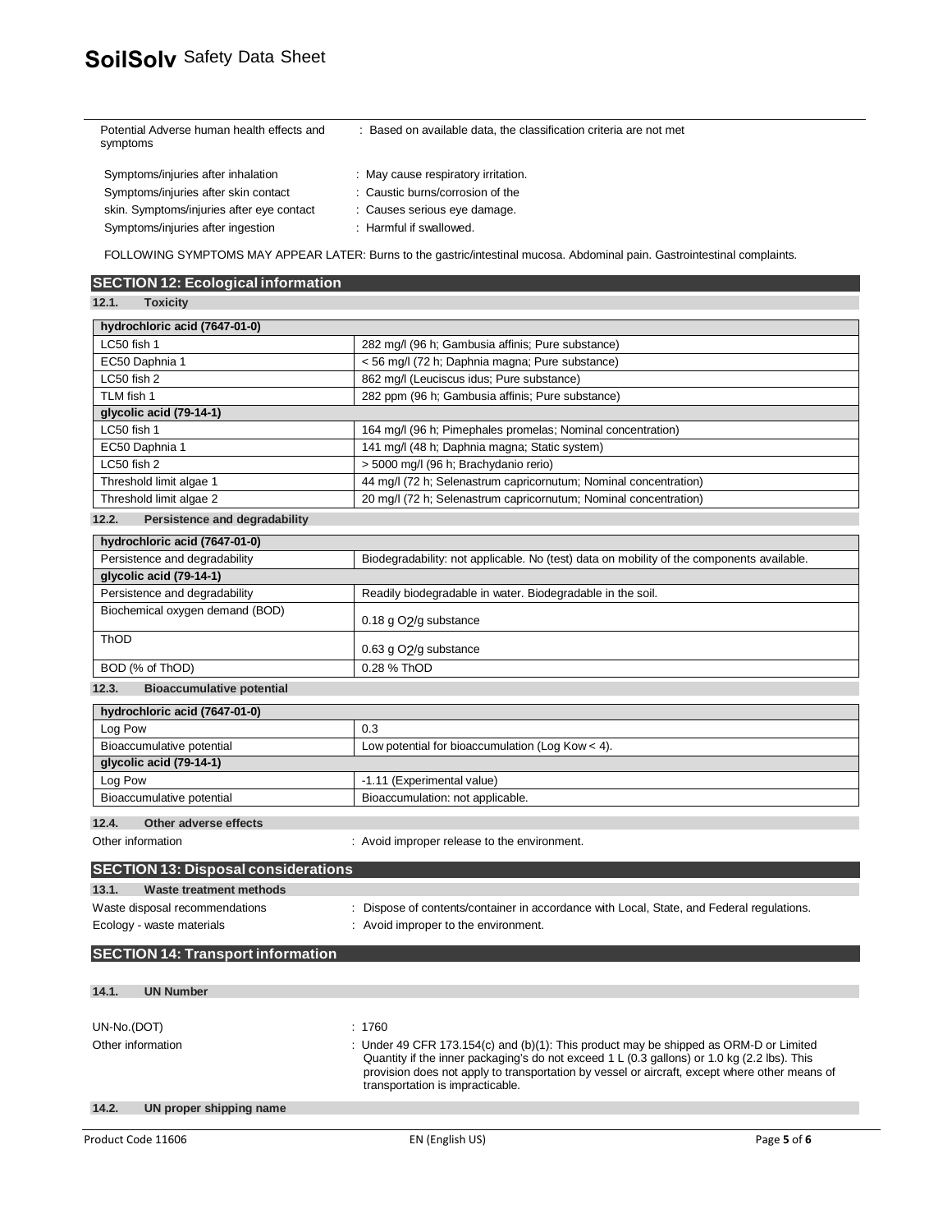| Potential Adverse human health effects and<br>symptoms | : Based on available data, the classification criteria are not met |
|--------------------------------------------------------|--------------------------------------------------------------------|
| Symptoms/injuries after inhalation                     | : May cause respiratory irritation.                                |
| Symptoms/injuries after skin contact                   | : Caustic burns/corrosion of the                                   |
| skin. Symptoms/injuries after eye contact              | : Causes serious eye damage.                                       |
| Symptoms/injuries after ingestion                      | : Harmful if swallowed.                                            |
|                                                        |                                                                    |

FOLLOWING SYMPTOMS MAY APPEAR LATER: Burns to the gastric/intestinal mucosa. Abdominal pain. Gastrointestinal complaints.

| <b>SECTION 12: Ecological information</b>  |                                                                                                                                   |  |  |
|--------------------------------------------|-----------------------------------------------------------------------------------------------------------------------------------|--|--|
| 12.1.<br><b>Toxicity</b>                   |                                                                                                                                   |  |  |
| hydrochloric acid (7647-01-0)              |                                                                                                                                   |  |  |
| LC50 fish 1                                | 282 mg/l (96 h; Gambusia affinis; Pure substance)                                                                                 |  |  |
| EC50 Daphnia 1                             | < 56 mg/l (72 h; Daphnia magna; Pure substance)                                                                                   |  |  |
| LC50 fish 2                                | 862 mg/l (Leuciscus idus; Pure substance)                                                                                         |  |  |
| TLM fish 1                                 | 282 ppm (96 h; Gambusia affinis; Pure substance)                                                                                  |  |  |
| glycolic acid (79-14-1)                    |                                                                                                                                   |  |  |
| LC50 fish 1                                | 164 mg/l (96 h; Pimephales promelas; Nominal concentration)                                                                       |  |  |
| EC50 Daphnia 1                             | 141 mg/l (48 h; Daphnia magna; Static system)                                                                                     |  |  |
| LC50 fish 2                                | > 5000 mg/l (96 h; Brachydanio rerio)                                                                                             |  |  |
| Threshold limit algae 1                    | 44 mg/l (72 h; Selenastrum capricornutum; Nominal concentration)                                                                  |  |  |
| Threshold limit algae 2                    | 20 mg/l (72 h; Selenastrum capricornutum; Nominal concentration)                                                                  |  |  |
| Persistence and degradability<br>12.2.     |                                                                                                                                   |  |  |
| hydrochloric acid (7647-01-0)              |                                                                                                                                   |  |  |
| Persistence and degradability              | Biodegradability: not applicable. No (test) data on mobility of the components available.                                         |  |  |
| glycolic acid (79-14-1)                    |                                                                                                                                   |  |  |
| Persistence and degradability              | Readily biodegradable in water. Biodegradable in the soil.                                                                        |  |  |
| Biochemical oxygen demand (BOD)            |                                                                                                                                   |  |  |
|                                            | 0.18 g O2/g substance                                                                                                             |  |  |
| <b>ThOD</b>                                |                                                                                                                                   |  |  |
|                                            | 0.63 g O2/g substance                                                                                                             |  |  |
| BOD (% of ThOD)                            | 0.28 % ThOD                                                                                                                       |  |  |
| 12.3.<br><b>Bioaccumulative potential</b>  |                                                                                                                                   |  |  |
| hydrochloric acid (7647-01-0)              |                                                                                                                                   |  |  |
| Log Pow                                    | 0.3                                                                                                                               |  |  |
| Bioaccumulative potential                  | Low potential for bioaccumulation (Log Kow < 4).                                                                                  |  |  |
| glycolic acid (79-14-1)                    |                                                                                                                                   |  |  |
| Log Pow                                    | -1.11 (Experimental value)                                                                                                        |  |  |
| Bioaccumulative potential                  | Bioaccumulation: not applicable.                                                                                                  |  |  |
| 12.4.<br>Other adverse effects             |                                                                                                                                   |  |  |
| Other information                          | : Avoid improper release to the environment.                                                                                      |  |  |
|                                            |                                                                                                                                   |  |  |
| <b>SECTION 13: Disposal considerations</b> |                                                                                                                                   |  |  |
| 13.1.<br><b>Waste treatment methods</b>    |                                                                                                                                   |  |  |
| Waste disposal recommendations             | : Dispose of contents/container in accordance with Local, State, and Federal regulations.                                         |  |  |
| Ecology - waste materials                  | : Avoid improper to the environment.                                                                                              |  |  |
|                                            |                                                                                                                                   |  |  |
| <b>SECTION 14: Transport information</b>   |                                                                                                                                   |  |  |
|                                            |                                                                                                                                   |  |  |
| 14.1.<br><b>UN Number</b>                  |                                                                                                                                   |  |  |
|                                            |                                                                                                                                   |  |  |
| UN-No.(DOT)                                | : 1760                                                                                                                            |  |  |
| Other information                          | : Under 49 CFR 173.154(c) and (b)(1): This product may be shipped as ORM-D or Limited                                             |  |  |
|                                            | Quantity if the inner packaging's do not exceed 1 L (0.3 gallons) or 1.0 kg (2.2 lbs). This                                       |  |  |
|                                            | provision does not apply to transportation by vessel or aircraft, except where other means of<br>transportation is impracticable. |  |  |
|                                            |                                                                                                                                   |  |  |
| 14.2.<br>UN proper shipping name           |                                                                                                                                   |  |  |